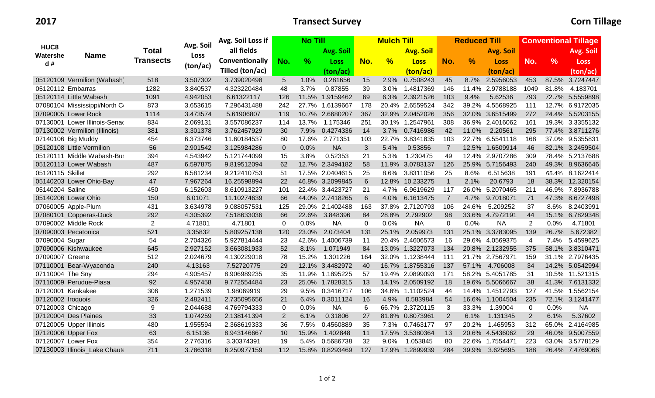## **2017 Transect Survey Corn Tillage**

|                                    | <b>Name</b>                   | Total<br><b>Transects</b> | Avg. Soil<br>Loss<br>(ton/ac) | Avg. Soil Loss if | <b>No Till</b> |       |                 | <b>Mulch Till</b> |               |                  |                  | <b>Reduced Till</b> |                  |             | <b>Conventional Tillage</b> |                 |  |
|------------------------------------|-------------------------------|---------------------------|-------------------------------|-------------------|----------------|-------|-----------------|-------------------|---------------|------------------|------------------|---------------------|------------------|-------------|-----------------------------|-----------------|--|
| HUC <sub>8</sub><br>Watershe<br>d# |                               |                           |                               | all fields        |                |       | Avg. Soil       |                   |               | <b>Avg. Soil</b> |                  |                     | <b>Avg. Soil</b> |             |                             | Avg. Soil       |  |
|                                    |                               |                           |                               | Conventionally    | No.            | $\%$  | Loss            | No.               | $\frac{9}{6}$ | <b>Loss</b>      | No.              | $\frac{9}{6}$       | <b>Loss</b>      | No.         | $\frac{9}{6}$               | <b>Loss</b>     |  |
|                                    |                               |                           |                               | Tilled (ton/ac)   |                |       | (ton/ac)        |                   |               | (ton/ac)         |                  |                     | (ton/ac)         |             |                             | (ton/ac)        |  |
|                                    | 05120109 Vermilion (Wabash)   | 518                       | 3.507302                      | 3.739020498       | 5              | 1.0%  | 0.281656        | 15                | $2.9\%$       | 0.7508243        | 45               | $8.7\%$             | 2.5956053        | 453         |                             | 87.5% 3.7247447 |  |
| 05120112 Embarras                  |                               | 1282                      | 3.840537                      | 4.323220484       | 48             | 3.7%  | 0.87855         | 39                | 3.0%          | 1.4817369        | 146              | 11.4%               | 2.9788188        | 1049        | 81.8%                       | 4.183701        |  |
|                                    | 05120114 Little Wabash        | 1091                      | 4.942053                      | 6.61322117        | 126            |       | 11.5% 1.9159462 | 69                | 6.3%          | 2.3921526        | 103              | 9.4%                | 5.62536          | 793         |                             | 72.7% 5.5559898 |  |
|                                    | 07080104 Mississippi/North C  | 873                       | 3.653615                      | 7.296431488       | 242            |       | 27.7% 1.6139667 | 178               |               | 20.4% 2.6559524  | 342              | 39.2%               | 4.5568925        | 111         |                             | 12.7% 6.9172035 |  |
|                                    | 07090005 Lower Rock           | 1114                      | 3.473574                      | 5.61906807        | 119            |       | 10.7% 2.6680207 | 367               |               | 32.9% 2.0452026  | 356              |                     | 32.0% 3.6515499  | 272         |                             | 24.4% 5.5203155 |  |
|                                    | 07130001 Lower Illinois-Senad | 834                       | 2.069131                      | 3.557086237       | 114            | 13.7% | 1.175346        | 251               |               | 30.1% 1.2547961  | 308              |                     | 36.9% 2.4016062  | 161         |                             | 19.3% 3.3355132 |  |
|                                    | 07130002 Vermilion (Illinois) | 381                       | 3.301378                      | 3.762457929       | 30             | 7.9%  | 0.4274336       | 14                | 3.7%          | 0.7416986        | 42               | 11.0%               | 2.20561          | 295         |                             | 77.4% 3.8711276 |  |
| 07140106 Big Muddy                 |                               | 454                       | 6.373746                      | 11.60184537       | 80             | 17.6% | 2.771351        | 103               | 22.7%         | 3.8341835        | 103              |                     | 22.7% 6.5541118  | 168         |                             | 37.0% 9.5355831 |  |
|                                    | 05120108 Little Vermilion     | 56                        | 2.901542                      | 3.125984286       | $\mathbf{0}$   | 0.0%  | <b>NA</b>       | 3                 | 5.4%          | 0.53856          | $\overline{7}$   |                     | 12.5% 1.6509914  | 46          |                             | 82.1% 3.2459504 |  |
|                                    | 05120111 Middle Wabash-Bus    | 394                       | 4.543942                      | 5.121744099       | 15             | 3.8%  | 0.52353         | 21                | 5.3%          | 1.230475         | 49               |                     | 12.4% 2.9707286  | 309         |                             | 78.4% 5.2137688 |  |
|                                    | 05120113 Lower Wabash         | 487                       | 6.597875                      | 9.819512094       | 62             |       | 12.7% 2.3494182 | 58                |               | 11.9% 3.0783137  | 126              |                     | 25.9% 5.7156493  | 240         |                             | 49.3% 8.9636646 |  |
| 05120115 Skillet                   |                               | 292                       | 6.581234                      | 9.212410753       | 51             |       | 17.5% 2.0404615 | 25                | 8.6%          | 3.8311056        | 25               | 8.6%                | 6.515638         | 191         |                             | 65.4% 8.1622414 |  |
|                                    | 05140203 Lower Ohio-Bay       | 47                        | 7.967264                      | 16.25598894       | 22             |       | 46.8% 3.2099845 | $6\phantom{1}6$   | 12.8%         | 10.233275        | $\mathbf{1}$     | 2.1%                | 20.6793          | 18          |                             | 38.3% 12.320154 |  |
| 05140204 Saline                    |                               | 450                       | 6.152603                      | 8.610913227       | 101            |       | 22.4% 3.4423727 | 21                | 4.7%          | 6.9619629        | 117              |                     | 26.0% 5.2070465  | 211         |                             | 46.9% 7.8936788 |  |
|                                    | 05140206 Lower Ohio           | 150                       | 6.01071                       | 11.10274639       | 66             |       | 44.0% 2.7418265 | $6\phantom{1}6$   | 4.0%          | 6.1613475        | $\overline{7}$   | 4.7%                | 9.7018071        | 71          |                             | 47.3% 8.6727498 |  |
|                                    | 07060005 Apple-Plum           | 431                       | 3.634978                      | 9.088057531       | 125            |       | 29.0% 2.1402488 | 163               |               | 37.8% 2.7120793  | 106              | 24.6%               | 5.209252         | 37          | 8.6%                        | 8.2403991       |  |
|                                    | 07080101 Copperas-Duck        | 292                       | 4.305392                      | 7.518633036       | 66             | 22.6% | 3.848396        | 84                | 28.8%         | 2.792902         | 98               |                     | 33.6% 4.7972191  | 44          |                             | 15.1% 6.7829348 |  |
|                                    | 07090002 Middle Rock          | $\overline{2}$            | 4.71801                       | 4.71801           | 0              | 0.0%  | <b>NA</b>       | 0                 | 0.0%          | <b>NA</b>        | $\boldsymbol{0}$ | 0.0%                | <b>NA</b>        | 2           | 0.0%                        | 4.71801         |  |
|                                    | 07090003 Pecatonica           | 521                       | 3.35832                       | 5.809257138       | 120            | 23.0% | 2.073404        | 131               | 25.1%         | 2.059973         | 131              |                     | 25.1% 3.3783095  | 139         | 26.7%                       | 5.672382        |  |
| 07090004 Sugar                     |                               | 54                        | 2.704326                      | 5.927814444       | 23             |       | 42.6% 1.4006739 | 11                |               | 20.4% 2.4606573  | 16               |                     | 29.6% 4.0569375  | 4           | 7.4%                        | 5.4599625       |  |
|                                    | 07090006 Kishwaukee           | 645                       | 2.927152                      | 3.663081933       | 52             | 8.1%  | 1.071949        | 84                |               | 13.0% 1.3227073  | 134              |                     | 20.8% 2.1232955  | 375         |                             | 58.1% 3.8310471 |  |
| 07090007 Greene                    |                               | 512                       | 2.024679                      | 4.130229018       | 78             | 15.2% | 1.301226        | 164               |               | 32.0% 1.1238444  | 111              |                     | 21.7% 2.7567971  | 159         |                             | 31.1% 2.7976435 |  |
|                                    | 07110001 Bear-Wyaconda        | 240                       | 4.13163                       | 7.52720775        | 29             |       | 12.1% 3.4482972 | 40                |               | 16.7% 1.8755316  | 137              |                     | 57.1% 4.706008   | 34          |                             | 14.2% 5.0542994 |  |
| 07110004 The Sny                   |                               | 294                       | 4.905457                      | 8.906989235       | 35             |       | 11.9% 1.1895225 | 57                |               | 19.4% 2.0899093  | 171              |                     | 58.2% 5.4051785  | 31          |                             | 10.5% 11.521315 |  |
|                                    | 07110009 Perudue-Piasa        | 92                        | 4.957458                      | 9.772554484       | 23             |       | 25.0% 1.7828315 | 13                |               | 14.1% 2.0509192  | 18               |                     | 19.6% 5.5066667  | 38          | 41.3%                       | 7.6131332       |  |
| 07120001 Kankakee                  |                               | 306                       | 1.271539                      | 1.98069919        | 29             | 9.5%  | 0.3416717       | 106               |               | 34.6% 1.1102524  | 44               |                     | 14.4% 1.4512793  | 127         |                             | 41.5% 1.5562154 |  |
| 07120002 Iroquois                  |                               | 326                       | 2.482411                      | 2.735095656       | 21             | 6.4%  | 0.3011124       | 16                | 4.9%          | 0.583984         | 54               |                     | 16.6% 1.1004504  | 235         |                             | 72.1% 3.1241477 |  |
| 07120003 Chicago                   |                               | 9                         | 2.044688                      | 4.769794333       | $\mathbf 0$    | 0.0%  | <b>NA</b>       | 6                 |               | 66.7% 2.3720115  | 3                | 33.3%               | 1.39004          | $\mathbf 0$ | 0.0%                        | <b>NA</b>       |  |
|                                    | 07120004 Des Plaines          | 33                        | 1.074259                      | 2.138141394       | $\overline{2}$ | 6.1%  | 0.31806         | 27                |               | 81.8% 0.8073961  | $\overline{2}$   | 6.1%                | 1.131345         | 2           | 6.1%                        | 5.37602         |  |
|                                    | 07120005 Upper Illinois       | 480                       | 1.955594                      | 2.368619333       | 36             | 7.5%  | 0.4560889       | 35                | 7.3%          | 0.7463177        | 97               | 20.2%               | 1.465953         | 312         |                             | 65.0% 2.4164985 |  |
| 07120006 Upper Fox                 |                               | 63                        | 6.15136                       | 8.943146667       | 10             | 15.9% | 1.402848        | 11                | 17.5%         | 3.5380364        | 13               |                     | 20.6% 4.5436062  | 29          |                             | 46.0% 9.5007559 |  |
| 07120007 Lower Fox                 |                               | 354                       | 2.776316                      | 3.30374391        | 19             | 5.4%  | 0.5686738       | 32                | 9.0%          | 1.053845         | 80               | 22.6%               | 1.7554471        | 223         | 63.0%                       | 3.5778129       |  |
|                                    | 07130003 Illinois Lake Chaute | 711                       | 3.786318                      | 6.250977159       | 112            |       | 15.8% 0.8293469 | 127               | 17.9%         | 1.2899939        | 284              | 39.9%               | 3.625695         | 188         |                             | 26.4% 7.4769066 |  |